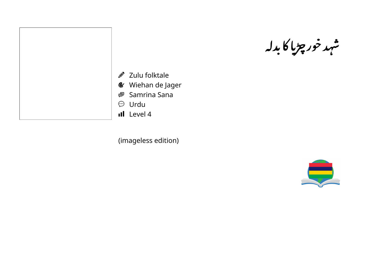

Zulu folktale

Wiehan de Jager

Samrina Sana

Urdu

Il Level 4

(imageless edition)



چڑیا کا بدلہ

 $\frac{1}{2}$  $\ddot{\textbf{z}}$ 

شهد خور چڑپا

 $\mathbf{r}$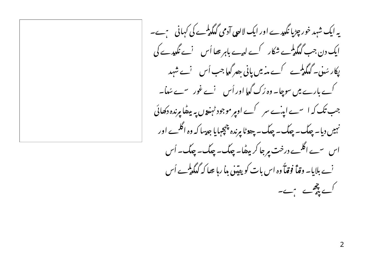یہ ایک شہد خور چڑیا نگدیہ ے اور ایک لالوں آدمی گیگڈیسے کی کہانی سمیے۔ ایک دن جب گیگدلمیے شکار کے لہے باہر عصا اُس نے نگدیے کی پکار سُنی۔ گٰلگی کمیے کے مذمیں پانی بھیر گیا جب اُس نے شہد کے بارے میں سوچا۔ وہ رُک گٰلیا اور اُس لُے غور سے سُماٗ۔ جب تک کہ اسے اینے سر کے اوپر موجود ٹہندوں یہ میٹھا پرندہ دکھائی نہیں دیا۔ چلک۔ چلک۔ چلک۔ چھوٹا پرندہ چچپہایا جدیںا کہ وہ اگلے اور اس سے اگلے درخت مرجا کر بیٹھا۔ چلک۔ چلک۔ چلک۔ اُس <sup>ن</sup>ے بلایا۔ **وقاۂ فوقاۂ و**ہ اس بات کو یق**تنیٰ ماریا تھا کہ گیگڈے** اُس کے پیچھے ہے۔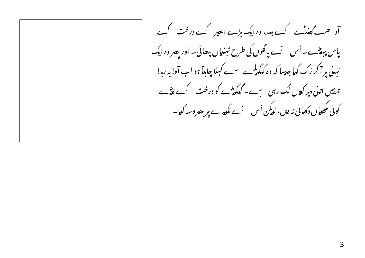آد ۔ گفنٹ کے بعد، وہ ایک مڑے انیور کے درخت کے یاس پہنچے۔ اُس نے پاگلوں کی طرح ٹہنیاں چھانی۔ اور پھر وہ ایک ٹہن پر آ کر رُک گیا جدسا کہ وہ گیگدلمیے سے کہنا چاہا ہو اب آو! یہ رہا! تہ ہیں اتنی دمر کیوں لگ رہی ہیں۔ گیگیا ہے کو درخت کے نتیے کوئی مکھیاں دکھائی نہ دیں، لدیکن اُس سنمنے نگدیہ سے مرحصروسہ کدیا۔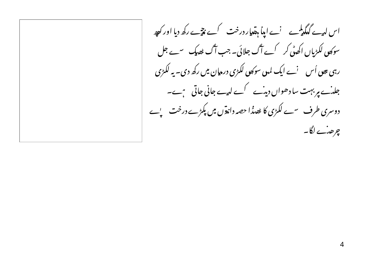اس لہے گلگہلمے نے اپنا ہقلار درخت کے نتیجے رکھ دیا اور کچھ سوکھی لکڑیاں اکھٹی کر کے آگ جلائی۔ جب آگ ٹھیک سے جل رہی بھی اُس سنے ایک لمہی سوکھی لکڑی درمان میں رکھ دی۔ یہ لکڑی جلہٰے یر بہت سا دھواں دیہٗے کے لیے جانی جاتی ہے۔ دوسری طرف سے لکڑی کا ٹھیڈا حصہ داندوں میں پکڑے درخت پ'ے چرھٹ لگا۔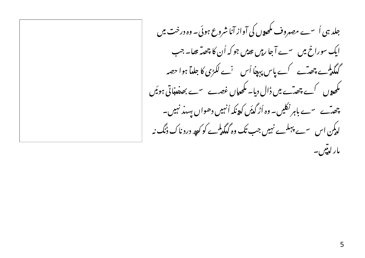جلد ہی اُ سے مصروف مکھوں کی آواز آنا شروع ہوئی۔ وہ درخت میں ایک سوراخ میں سے آجا رہیں ہوتی جو کہ اُن کا چھتہ تھا۔ جب گلگہلیے چھٹے کے پاس پہنا اُس نے لکڑی کا جلہآ ہوا حصہ مکھوں کے چھٹے میں ڈال دیا۔ مکھایاں غصے سے بھیفنڈاتی ہوئیں چھتے سے باہرنکلیں۔ وہ اُڑ گڈیں کدونکہ اُنہیں دھواں پسند نہیں۔ لدکمن اس سے پہلے نہیں جب تک وہ گدکمدلمیے کو کچھ درد ناک ڈنگ نہ مار لېټيں ۔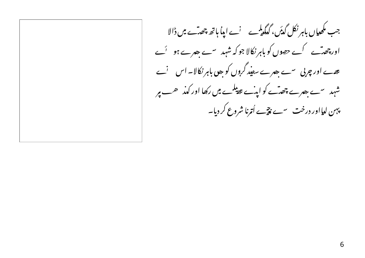جب مکھیاں باہرنکل گڈیں، گدگمڈے لیے اپنا ہاتھ چھتے میں ڈالا اور چھت کے حصوں کو باہرنکالا جو کہ شہد سے بصرے ہو گے تھے اور چربی سے بھرے سفید گروں کو بھی باہر نکالا۔ اس نے شہد سے بصرے چھتے کو اینے عط<sup>یل</sup>ے میں رکھا اور کہذ یہ پہن لدااور درخت سے پیچے اُترنا شروع کر دیا۔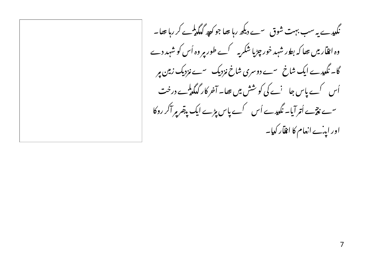نگدیدے یہ سب بہت شوق سے دیکھ رہا تھا جو کو پر گدگی ہے کر رہا تھا۔ وہ انقاریں تھا کہ بطور شہد خور چڑیا شکریہ کے طور پر وہ اُس کو شہد دے گا۔ نگدیہ ے ایک شاخ سے دوسری شاخ مزدیک سے مزدیک زمین پر اُس کے پاس جا 'ے کی کو شش میں تھا۔ آخر کار گیگدلمہے درخت سے نتیے اُتر آیا۔ نگدیے اُس کے پاس پڑے ایک پیقر پر آکر روکا اور اینے انعام کا انقار کدیا۔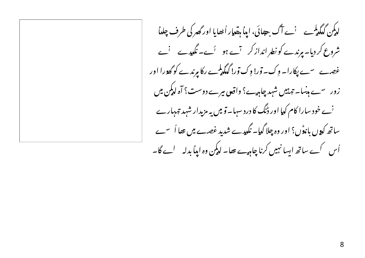لدکمن گدکمدی سے آگ جھائی، اپنا ہتھار اُٹھایا اور گھر کی طرف چلدا شروع کر دیا۔ ہرندے کو نطر انداز کر ہ<sup>ی</sup>ے ہو گیے۔ نگ<sub>ل</sub>یدے <sup>ن</sup>ے غصے سے پکارا۔ وک۔ تور! وک تور! گیگی<sup>ل</sup>ے رکا <u>مرندے کو گھ</u>ورا اور زور سے ہذسا۔ تہرمیں شہد چاہیے؟ واقعی میرے دوست؟ آہ لدیکن میں <sup>ن</sup>ے خود سارا کام کیا اور ڈنگ کا درد سہا۔ تو میں یہ مزیدار شہد تہہارے ساتھ کیوں باندوں؟ اور وہ چلا گدیا۔ نگدیدے شدید غصے میں تھا اُ سے اُس کے ساتھ ایسا نہیں کرنا چاہیے تھا۔ لدیکن وہ اپنا بدلہ لے گا۔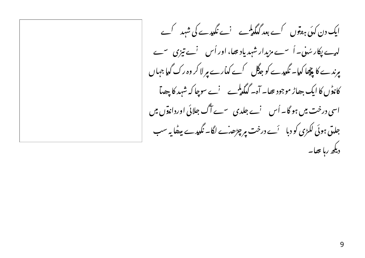ایک دن کہیٗ ہعو٘وں کے بعد گدکمی<sup>ل</sup>ے نے نگیدے کی شہد کے لہے پکار سُنی۔ اُسے مزیدار شہدیاد تھا، اور اُس نے تیزی سے پرندے کا پیچا کیا۔ نگیدے کو جدگل کے کدارے پر لا کر وہ رک گیا جہاں کانڈں کا ایک جھاڑ موجود تھا۔ آہ۔ گیگدلمبے پھرنے سوچا کہ شہد کا چھیآ اسی درخت میں ہو گا۔ اُس ِ نے جلدی ِ سے آگ جلائی اورداندوں میں جلتی ہوئی لکڑی کو دبا پڑے درخت پر چڑھ نے لگا۔ نگدیے پیٹھا یہ سب دیکھ رہا تھا۔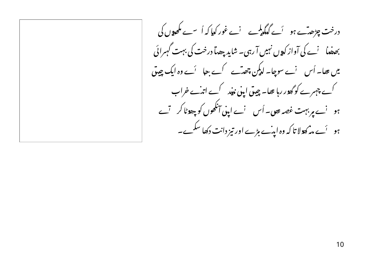درخت چڑھتے ہو گے گدگی گھے گے غور کیا کہ اُ سے مکھوں کی بھیضا پنے کی آواز کیوں نہیں آ رہی۔ شاید جھٹا درخت کی بہت گہرائی میں تھا۔ اُس ِ نے سوچا۔ لدیکن چھتے کے جا پَے وہ ایک چیق کے چہرے کو گھور رہا تھا۔ چیق اپنی نبید کے اتہ ے خراب ہو نے یر بہت غصہ ہوں۔ اُس نے اپنی آنکھوں کو چھوٹا کر تے ہو ۔ <sup>آ</sup>ے م*ہ کھ*ولا تا کہ وہ ایہ ٔے بڑے اور تیز دانت دکھا سکے۔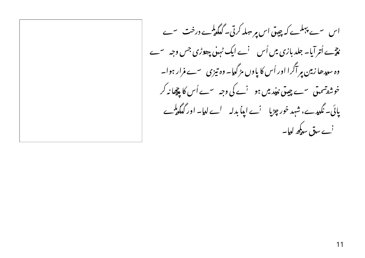اس سے پہلے کہ چیق اس پر حیلہ کرتی۔ گدگیڈے درخت سے نع ہے اُتر آیا۔ جلد بازی میں اُس <sup>ن</sup>ے ایک ٹہ<sub>ی</sub>ن چھڑی جس وجہ سے وہ سدیدھا زمین پر آگرا اور اُس کا یاوں مڑ گدیا۔ وہ تیزی سے فرار ہوا۔ خوش<sub>ف</sub>تسمتی س<sub>ے چی</sub>تی نہیٰد میں ہو <sup>ن</sup>ے کی وجہ سے اُس کا پیچانہ کر پائی۔ نگہیہے، شہد خور چڑیا پنے اپنا بدلہ لے لیا۔ اور گیگی کے نے س**بق** سدیکھ لیا۔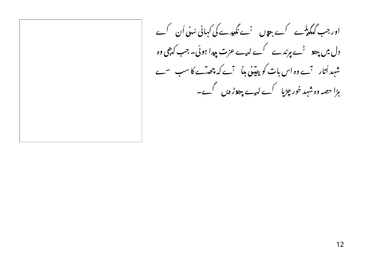اور جب گیگیڈے کے چوں نے نگیدے کی کہانی سُنی اُن کے دل میں چھو گُے پرندے کے لیے عزت پیدا ہوئی۔ جب کہ چی وہ شہد اُتار تے وہ اس بات کو یقینی بدا تے کہ چھٹے کا سب سے ہڑا حصہ وہ شہد خور چڑیا گے لہے چھوڑ دیں گے۔